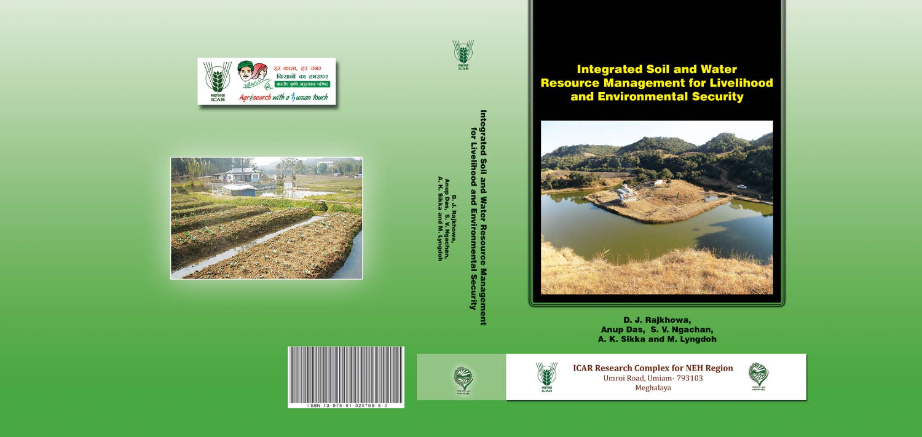



D. J. Rajkhowa,<br>Anup Das, S. V. Ngachan,<br>A. K. Sikka and M. Lyngdoh









# **Integrated Soil and Water<br>Resource Management for Livelihood<br>and Environmental Security**



D. J. Rajkhowa, Anup Das, S. V. Ngachan, A. K. Sikka and M. Lyngdoh



**ICAR Research Complex for NEH Region**<br>Umroi Road, Umiam- 793103 Meghalaya

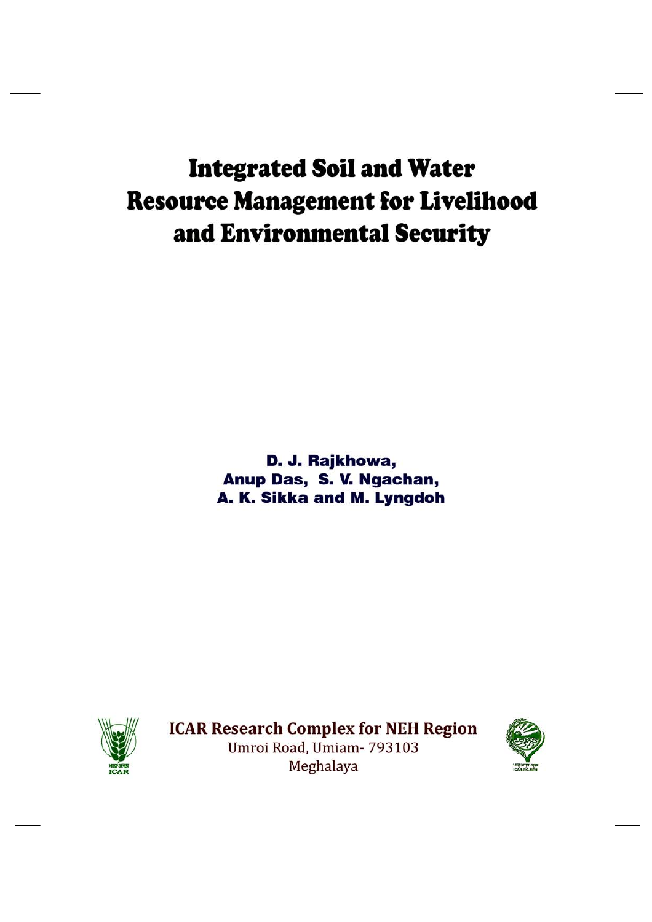## **Integrated Soil and Water Resource Management for Livelihood** and Environmental Security

D. J. Rajkhowa, Anup Das, S. V. Ngachan, A. K. Sikka and M. Lyngdoh



**ICAR Research Complex for NEH Region** Umroi Road, Umiam- 793103 Meghalaya

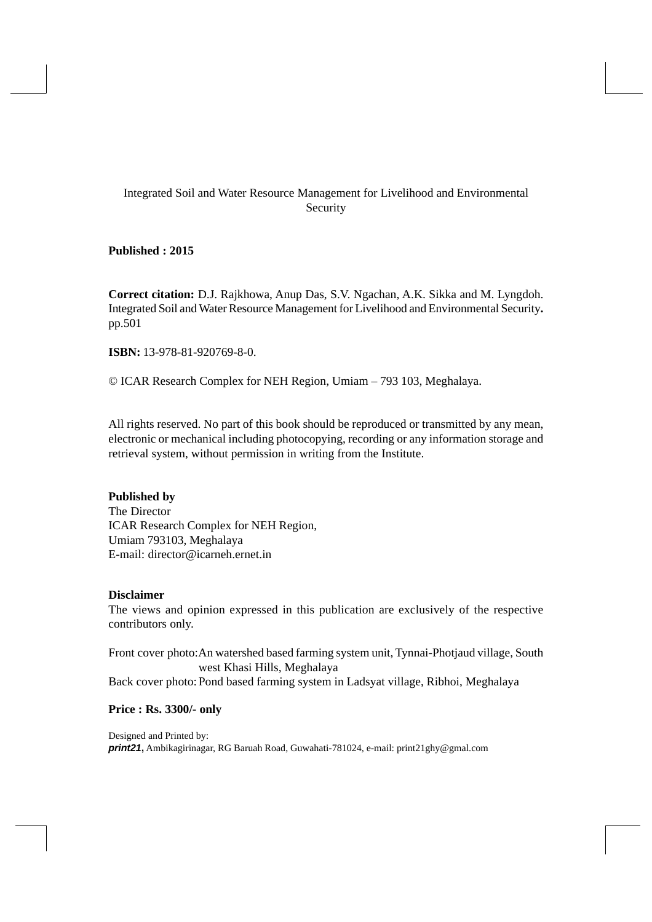#### Integrated Soil and Water Resource Management for Livelihood and Environmental Security

**Published : 2015**

**Correct citation:** D.J. Rajkhowa, Anup Das, S.V. Ngachan, A.K. Sikka and M. Lyngdoh. Integrated Soil and Water Resource Management for Livelihood and Environmental Security**.** pp.501

**ISBN:** 13-978-81-920769-8-0.

© ICAR Research Complex for NEH Region, Umiam – 793 103, Meghalaya.

All rights reserved. No part of this book should be reproduced or transmitted by any mean, electronic or mechanical including photocopying, recording or any information storage and retrieval system, without permission in writing from the Institute.

#### **Published by**

The Director ICAR Research Complex for NEH Region, Umiam 793103, Meghalaya E-mail: director@icarneh.ernet.in

#### **Disclaimer**

The views and opinion expressed in this publication are exclusively of the respective contributors only.

Front cover photo:An watershed based farming system unit, Tynnai-Photjaud village, South west Khasi Hills, Meghalaya Back cover photo: Pond based farming system in Ladsyat village, Ribhoi, Meghalaya

#### **Price : Rs. 3300/- only**

Designed and Printed by: *print21***,** Ambikagirinagar, RG Baruah Road, Guwahati-781024, e-mail: print21ghy@gmal.com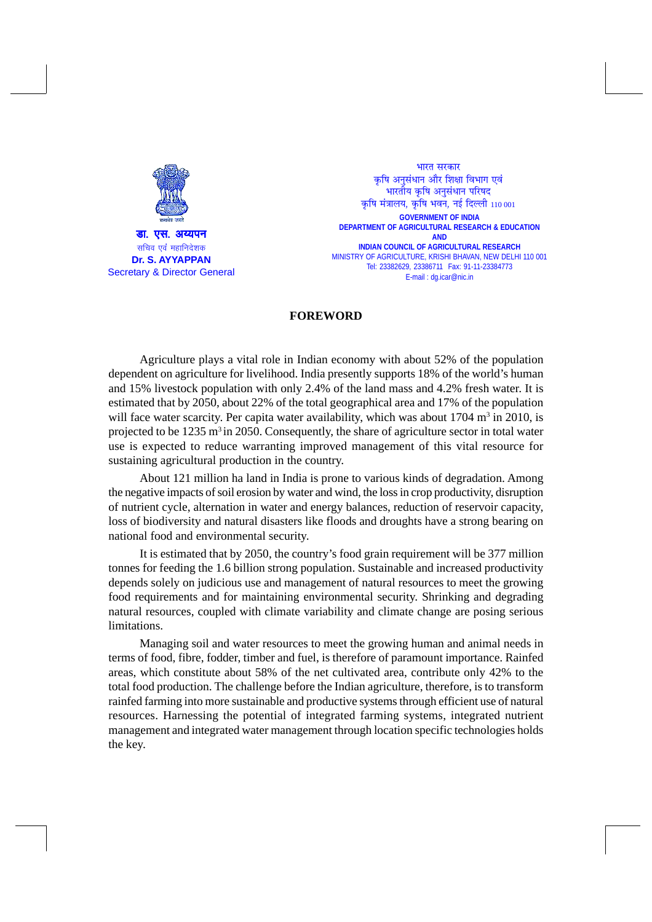

**GOVERNMENT OF INDIA DEPARTMENT OF AGRICULTURAL RESEARCH & EDUCATION AND INDIAN COUNCIL OF AGRICULTURAL RESEARCH** MINISTRY OF AGRICULTURE, KRISHI BHAVAN, NEW DELHI 110 001 Tel: 23382629, 23386711 Fax: 91-11-23384773 E-mail : dg.icar@nic.in भारत सरकार कृषि अनसंधान और शिक्षा विभाग एवं भारतीय कृषि अनुसंधान परिषद कृषि मंत्रालय, कृषि भवन, नई दिल्ली  $110001$ 

#### **FOREWORD**

Agriculture plays a vital role in Indian economy with about 52% of the population dependent on agriculture for livelihood. India presently supports 18% of the world's human and 15% livestock population with only 2.4% of the land mass and 4.2% fresh water. It is estimated that by 2050, about 22% of the total geographical area and 17% of the population will face water scarcity. Per capita water availability, which was about  $1704 \text{ m}^3$  in  $2010$ , is projected to be  $1235 \text{ m}^3$  in 2050. Consequently, the share of agriculture sector in total water use is expected to reduce warranting improved management of this vital resource for sustaining agricultural production in the country.

About 121 million ha land in India is prone to various kinds of degradation. Among the negative impacts of soil erosion by water and wind, the loss in crop productivity, disruption of nutrient cycle, alternation in water and energy balances, reduction of reservoir capacity, loss of biodiversity and natural disasters like floods and droughts have a strong bearing on national food and environmental security.

It is estimated that by 2050, the country's food grain requirement will be 377 million tonnes for feeding the 1.6 billion strong population. Sustainable and increased productivity depends solely on judicious use and management of natural resources to meet the growing food requirements and for maintaining environmental security. Shrinking and degrading natural resources, coupled with climate variability and climate change are posing serious limitations.

Managing soil and water resources to meet the growing human and animal needs in terms of food, fibre, fodder, timber and fuel, is therefore of paramount importance. Rainfed areas, which constitute about 58% of the net cultivated area, contribute only 42% to the total food production. The challenge before the Indian agriculture, therefore, is to transform rainfed farming into more sustainable and productive systems through efficient use of natural resources. Harnessing the potential of integrated farming systems, integrated nutrient management and integrated water management through location specific technologies holds the key.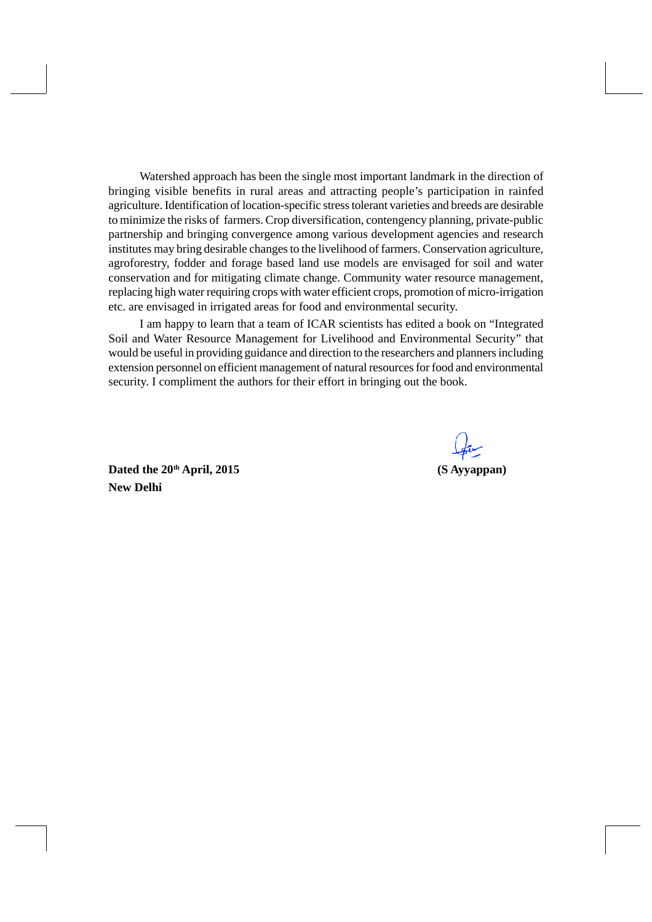Watershed approach has been the single most important landmark in the direction of bringing visible benefits in rural areas and attracting people's participation in rainfed agriculture. Identification of location-specific stress tolerant varieties and breeds are desirable to minimize the risks of farmers. Crop diversification, contengency planning, private-public partnership and bringing convergence among various development agencies and research institutes may bring desirable changes to the livelihood of farmers. Conservation agriculture, agroforestry, fodder and forage based land use models are envisaged for soil and water conservation and for mitigating climate change. Community water resource management, replacing high water requiring crops with water efficient crops, promotion of micro-irrigation etc. are envisaged in irrigated areas for food and environmental security.

I am happy to learn that a team of ICAR scientists has edited a book on "Integrated Soil and Water Resource Management for Livelihood and Environmental Security" that would be useful in providing guidance and direction to the researchers and planners including extension personnel on efficient management of natural resources for food and environmental security. I compliment the authors for their effort in bringing out the book.

Dated the 20<sup>th</sup> April, 2015 (S Ayyappan) **New Delhi**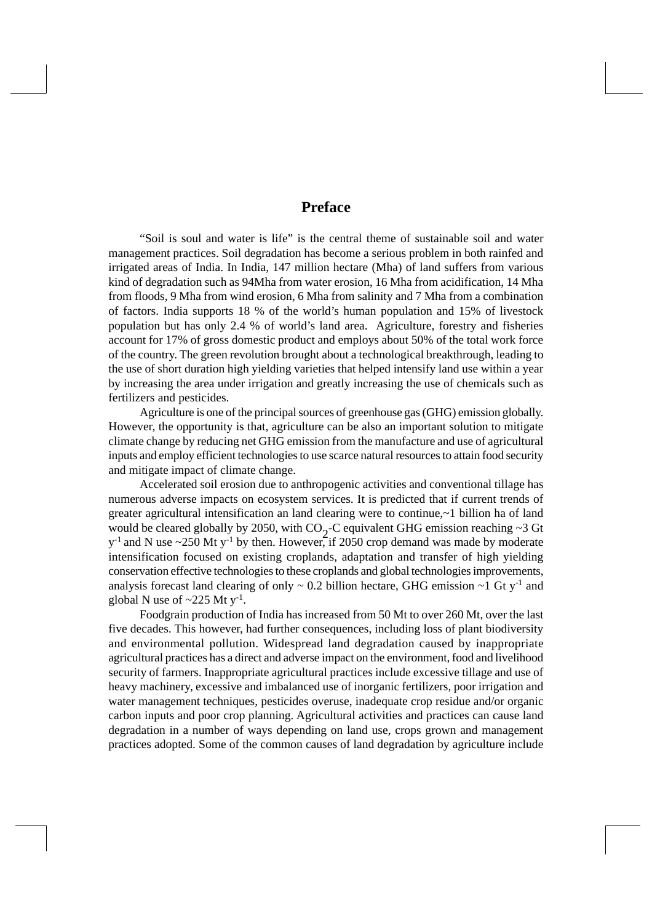#### **Preface**

"Soil is soul and water is life" is the central theme of sustainable soil and water management practices. Soil degradation has become a serious problem in both rainfed and irrigated areas of India. In India, 147 million hectare (Mha) of land suffers from various kind of degradation such as 94Mha from water erosion, 16 Mha from acidification, 14 Mha from floods, 9 Mha from wind erosion, 6 Mha from salinity and 7 Mha from a combination of factors. India supports 18 % of the world's human population and 15% of livestock population but has only 2.4 % of world's land area. Agriculture, forestry and fisheries account for 17% of gross domestic product and employs about 50% of the total work force of the country. The green revolution brought about a technological breakthrough, leading to the use of short duration high yielding varieties that helped intensify land use within a year by increasing the area under irrigation and greatly increasing the use of chemicals such as fertilizers and pesticides.

Agriculture is one of the principal sources of greenhouse gas (GHG) emission globally. However, the opportunity is that, agriculture can be also an important solution to mitigate climate change by reducing net GHG emission from the manufacture and use of agricultural inputs and employ efficient technologies to use scarce natural resources to attain food security and mitigate impact of climate change.

Accelerated soil erosion due to anthropogenic activities and conventional tillage has numerous adverse impacts on ecosystem services. It is predicted that if current trends of greater agricultural intensification an land clearing were to continue,~1 billion ha of land would be cleared globally by 2050, with  $CO_2$ -C equivalent GHG emission reaching ~3 Gt  $y^{-1}$  and N use ~250 Mt  $y^{-1}$  by then. However, if 2050 crop demand was made by moderate intensification focused on existing croplands, adaptation and transfer of high yielding conservation effective technologies to these croplands and global technologies improvements, analysis forecast land clearing of only  $\sim 0.2$  billion hectare, GHG emission  $\sim 1$  Gt y<sup>-1</sup> and global N use of  $\sim$ 225 Mt y<sup>-1</sup>.

Foodgrain production of India has increased from 50 Mt to over 260 Mt, over the last five decades. This however, had further consequences, including loss of plant biodiversity and environmental pollution. Widespread land degradation caused by inappropriate agricultural practices has a direct and adverse impact on the environment, food and livelihood security of farmers. Inappropriate agricultural practices include excessive tillage and use of heavy machinery, excessive and imbalanced use of inorganic fertilizers, poor irrigation and water management techniques, pesticides overuse, inadequate crop residue and/or organic carbon inputs and poor crop planning. Agricultural activities and practices can cause land degradation in a number of ways depending on land use, crops grown and management practices adopted. Some of the common causes of land degradation by agriculture include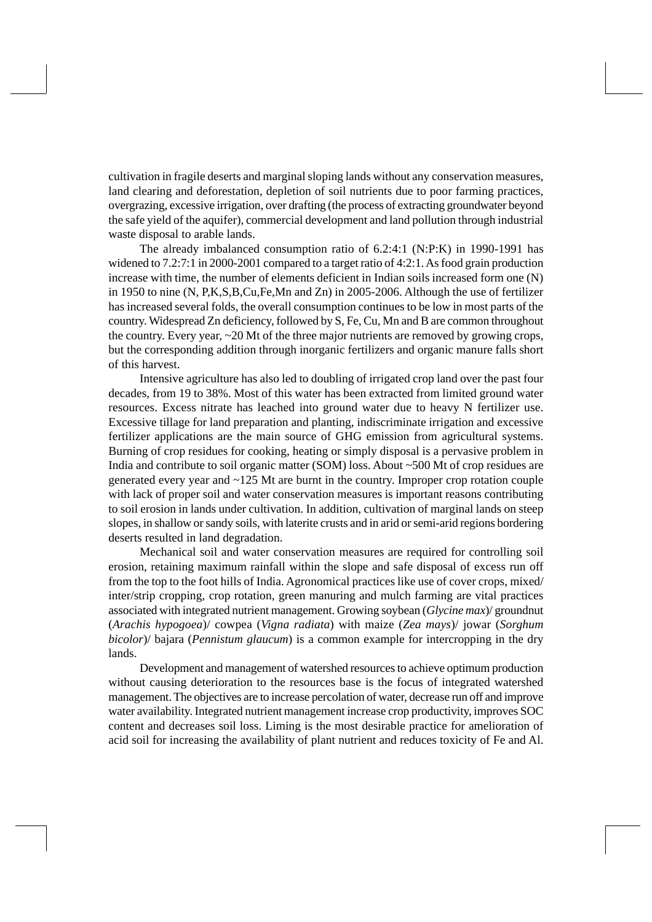cultivation in fragile deserts and marginal sloping lands without any conservation measures, land clearing and deforestation, depletion of soil nutrients due to poor farming practices, overgrazing, excessive irrigation, over drafting (the process of extracting groundwater beyond the safe yield of the aquifer), commercial development and land pollution through industrial waste disposal to arable lands.

The already imbalanced consumption ratio of 6.2:4:1 (N:P:K) in 1990-1991 has widened to 7.2:7:1 in 2000-2001 compared to a target ratio of 4:2:1. As food grain production increase with time, the number of elements deficient in Indian soils increased form one (N) in 1950 to nine (N, P,K,S,B,Cu,Fe,Mn and Zn) in 2005-2006. Although the use of fertilizer has increased several folds, the overall consumption continues to be low in most parts of the country. Widespread Zn deficiency, followed by S, Fe, Cu, Mn and B are common throughout the country. Every year, ~20 Mt of the three major nutrients are removed by growing crops, but the corresponding addition through inorganic fertilizers and organic manure falls short of this harvest.

Intensive agriculture has also led to doubling of irrigated crop land over the past four decades, from 19 to 38%. Most of this water has been extracted from limited ground water resources. Excess nitrate has leached into ground water due to heavy N fertilizer use. Excessive tillage for land preparation and planting, indiscriminate irrigation and excessive fertilizer applications are the main source of GHG emission from agricultural systems. Burning of crop residues for cooking, heating or simply disposal is a pervasive problem in India and contribute to soil organic matter (SOM) loss. About ~500 Mt of crop residues are generated every year and ~125 Mt are burnt in the country. Improper crop rotation couple with lack of proper soil and water conservation measures is important reasons contributing to soil erosion in lands under cultivation. In addition, cultivation of marginal lands on steep slopes, in shallow or sandy soils, with laterite crusts and in arid or semi-arid regions bordering deserts resulted in land degradation.

Mechanical soil and water conservation measures are required for controlling soil erosion, retaining maximum rainfall within the slope and safe disposal of excess run off from the top to the foot hills of India. Agronomical practices like use of cover crops, mixed/ inter/strip cropping, crop rotation, green manuring and mulch farming are vital practices associated with integrated nutrient management. Growing soybean (*Glycine max*)/ groundnut (*Arachis hypogoea*)/ cowpea (*Vigna radiata*) with maize (*Zea mays*)/ jowar (*Sorghum bicolor*)/ bajara (*Pennistum glaucum*) is a common example for intercropping in the dry lands.

Development and management of watershed resources to achieve optimum production without causing deterioration to the resources base is the focus of integrated watershed management. The objectives are to increase percolation of water, decrease run off and improve water availability. Integrated nutrient management increase crop productivity, improves SOC content and decreases soil loss. Liming is the most desirable practice for amelioration of acid soil for increasing the availability of plant nutrient and reduces toxicity of Fe and Al.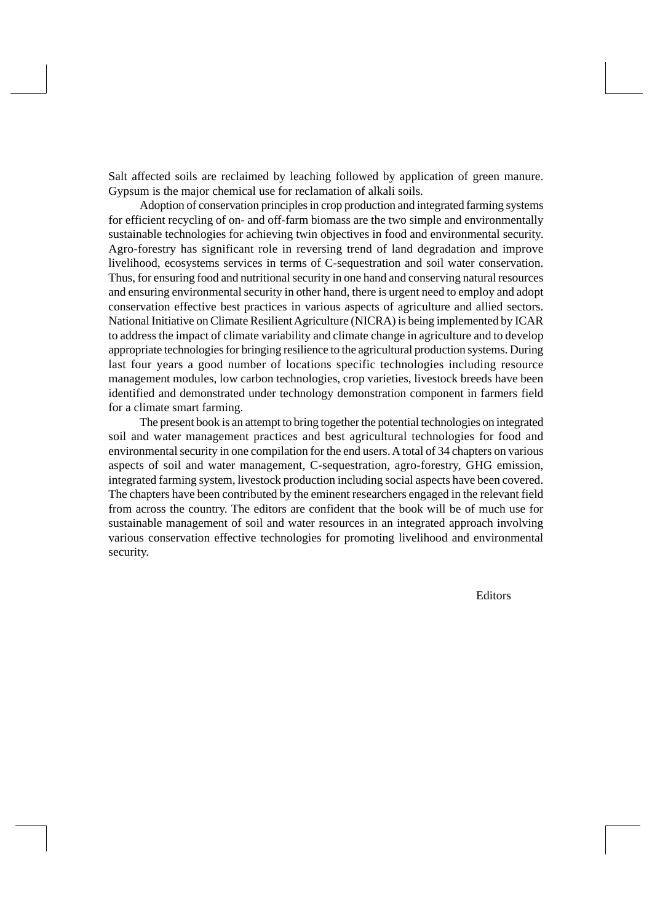Salt affected soils are reclaimed by leaching followed by application of green manure. Gypsum is the major chemical use for reclamation of alkali soils.

Adoption of conservation principles in crop production and integrated farming systems for efficient recycling of on- and off-farm biomass are the two simple and environmentally sustainable technologies for achieving twin objectives in food and environmental security. Agro-forestry has significant role in reversing trend of land degradation and improve livelihood, ecosystems services in terms of C-sequestration and soil water conservation. Thus, for ensuring food and nutritional security in one hand and conserving natural resources and ensuring environmental security in other hand, there is urgent need to employ and adopt conservation effective best practices in various aspects of agriculture and allied sectors. National Initiative on Climate Resilient Agriculture (NICRA) is being implemented by ICAR to address the impact of climate variability and climate change in agriculture and to develop appropriate technologies for bringing resilience to the agricultural production systems. During last four years a good number of locations specific technologies including resource management modules, low carbon technologies, crop varieties, livestock breeds have been identified and demonstrated under technology demonstration component in farmers field for a climate smart farming.

The present book is an attempt to bring together the potential technologies on integrated soil and water management practices and best agricultural technologies for food and environmental security in one compilation for the end users. A total of 34 chapters on various aspects of soil and water management, C-sequestration, agro-forestry, GHG emission, integrated farming system, livestock production including social aspects have been covered. The chapters have been contributed by the eminent researchers engaged in the relevant field from across the country. The editors are confident that the book will be of much use for sustainable management of soil and water resources in an integrated approach involving various conservation effective technologies for promoting livelihood and environmental security.

Editors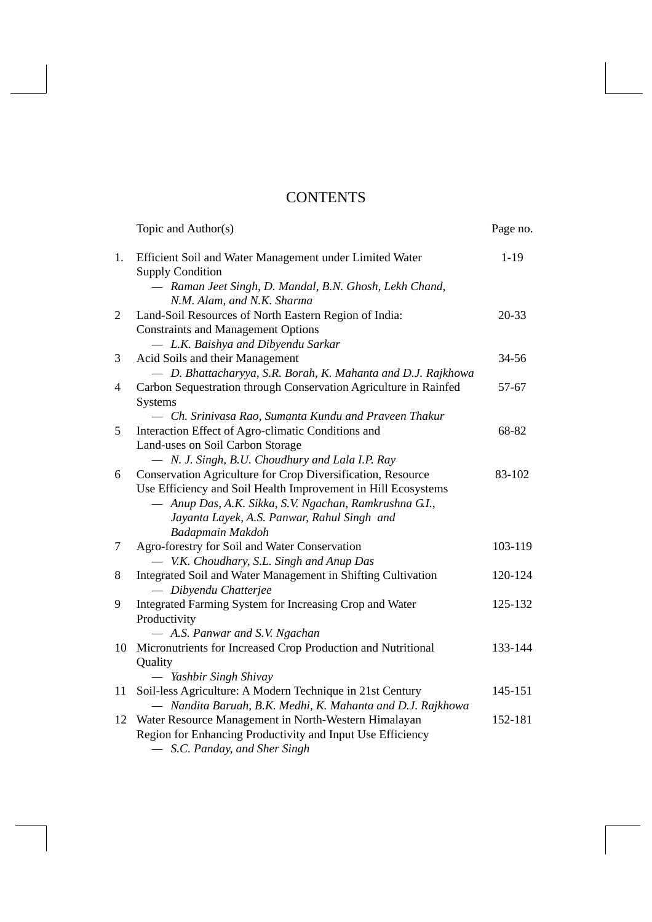### **CONTENTS**

|                | Topic and Author(s)                                                                                                                                                                                                                   | Page no.  |
|----------------|---------------------------------------------------------------------------------------------------------------------------------------------------------------------------------------------------------------------------------------|-----------|
| 1.             | Efficient Soil and Water Management under Limited Water<br><b>Supply Condition</b>                                                                                                                                                    | $1-19$    |
|                | - Raman Jeet Singh, D. Mandal, B.N. Ghosh, Lekh Chand,<br>N.M. Alam, and N.K. Sharma                                                                                                                                                  |           |
| $\overline{2}$ | Land-Soil Resources of North Eastern Region of India:<br><b>Constraints and Management Options</b>                                                                                                                                    | $20 - 33$ |
| 3              | - L.K. Baishya and Dibyendu Sarkar<br>Acid Soils and their Management<br>- D. Bhattacharyya, S.R. Borah, K. Mahanta and D.J. Rajkhowa                                                                                                 | 34-56     |
| 4              | Carbon Sequestration through Conservation Agriculture in Rainfed<br><b>Systems</b>                                                                                                                                                    | 57-67     |
| 5              | - Ch. Srinivasa Rao, Sumanta Kundu and Praveen Thakur<br>Interaction Effect of Agro-climatic Conditions and                                                                                                                           | 68-82     |
|                | Land-uses on Soil Carbon Storage<br>- N. J. Singh, B.U. Choudhury and Lala I.P. Ray                                                                                                                                                   |           |
| 6              | Conservation Agriculture for Crop Diversification, Resource<br>Use Efficiency and Soil Health Improvement in Hill Ecosystems<br>- Anup Das, A.K. Sikka, S.V. Ngachan, Ramkrushna G.I.,<br>Jayanta Layek, A.S. Panwar, Rahul Singh and | 83-102    |
|                | <b>Badapmain Makdoh</b>                                                                                                                                                                                                               |           |
| 7              | Agro-forestry for Soil and Water Conservation<br>V.K. Choudhary, S.L. Singh and Anup Das                                                                                                                                              | 103-119   |
| 8              | Integrated Soil and Water Management in Shifting Cultivation<br>- Dibyendu Chatterjee                                                                                                                                                 | 120-124   |
| 9              | Integrated Farming System for Increasing Crop and Water<br>Productivity                                                                                                                                                               | 125-132   |
| 10             | - A.S. Panwar and S.V. Ngachan<br>Micronutrients for Increased Crop Production and Nutritional<br>Quality                                                                                                                             | 133-144   |
|                | — Yashbir Singh Shivay                                                                                                                                                                                                                |           |
| 11             | Soil-less Agriculture: A Modern Technique in 21st Century<br>- Nandita Baruah, B.K. Medhi, K. Mahanta and D.J. Rajkhowa                                                                                                               | 145-151   |
| 12             | Water Resource Management in North-Western Himalayan<br>Region for Enhancing Productivity and Input Use Efficiency<br>- S.C. Panday, and Sher Singh                                                                                   | 152-181   |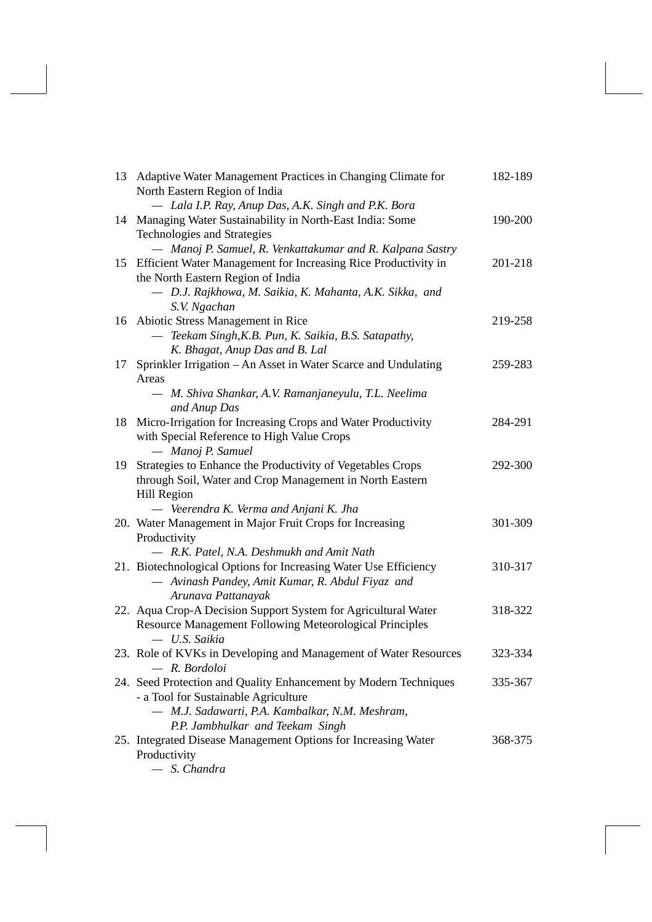| 13 | Adaptive Water Management Practices in Changing Climate for<br>North Eastern Region of India        | 182-189 |
|----|-----------------------------------------------------------------------------------------------------|---------|
|    | - Lala I.P. Ray, Anup Das, A.K. Singh and P.K. Bora                                                 |         |
|    | 14 Managing Water Sustainability in North-East India: Some<br>Technologies and Strategies           | 190-200 |
|    | - Manoj P. Samuel, R. Venkattakumar and R. Kalpana Sastry                                           |         |
| 15 | Efficient Water Management for Increasing Rice Productivity in<br>the North Eastern Region of India | 201-218 |
|    | - D.J. Rajkhowa, M. Saikia, K. Mahanta, A.K. Sikka, and<br>S.V. Ngachan                             |         |
|    | 16 Abiotic Stress Management in Rice                                                                | 219-258 |
|    | - Teekam Singh, K.B. Pun, K. Saikia, B.S. Satapathy,                                                |         |
|    | K. Bhagat, Anup Das and B. Lal                                                                      |         |
|    |                                                                                                     | 259-283 |
| 17 | Sprinkler Irrigation - An Asset in Water Scarce and Undulating                                      |         |
|    | Areas<br>— M. Shiva Shankar, A.V. Ramanjaneyulu, T.L. Neelima<br>and Anup Das                       |         |
| 18 | Micro-Irrigation for Increasing Crops and Water Productivity                                        | 284-291 |
|    | with Special Reference to High Value Crops                                                          |         |
|    | - Manoj P. Samuel                                                                                   |         |
| 19 | Strategies to Enhance the Productivity of Vegetables Crops                                          | 292-300 |
|    | through Soil, Water and Crop Management in North Eastern                                            |         |
|    | Hill Region                                                                                         |         |
|    | - Veerendra K. Verma and Anjani K. Jha                                                              |         |
|    | 20. Water Management in Major Fruit Crops for Increasing                                            | 301-309 |
|    | Productivity                                                                                        |         |
|    | - R.K. Patel, N.A. Deshmukh and Amit Nath                                                           |         |
|    | 21. Biotechnological Options for Increasing Water Use Efficiency                                    | 310-317 |
|    | - Avinash Pandey, Amit Kumar, R. Abdul Fiyaz and                                                    |         |
|    | Arunava Pattanayak                                                                                  |         |
|    | 22. Aqua Crop-A Decision Support System for Agricultural Water                                      | 318-322 |
|    | Resource Management Following Meteorological Principles                                             |         |
|    | - U.S. Saikia                                                                                       |         |
|    | 23. Role of KVKs in Developing and Management of Water Resources                                    | 323-334 |
|    | R. Bordoloi                                                                                         |         |
|    | 24. Seed Protection and Quality Enhancement by Modern Techniques                                    | 335-367 |
|    | - a Tool for Sustainable Agriculture                                                                |         |
|    | - M.J. Sadawarti, P.A. Kambalkar, N.M. Meshram,                                                     |         |
|    | P.P. Jambhulkar and Teekam Singh                                                                    |         |
|    | 25. Integrated Disease Management Options for Increasing Water                                      | 368-375 |
|    | Productivity                                                                                        |         |
|    |                                                                                                     |         |

*— S. Chandra*